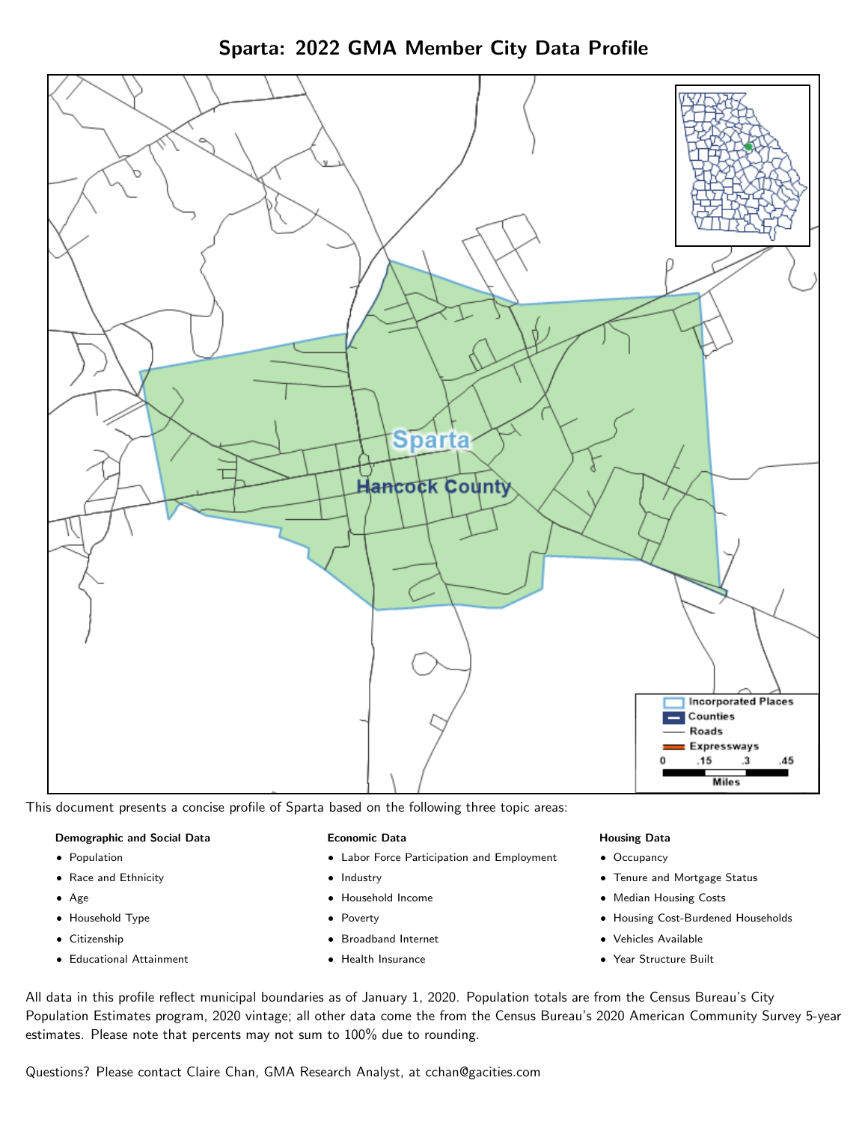



This document presents a concise profile of Sparta based on the following three topic areas:

#### Demographic and Social Data

- **•** Population
- Race and Ethnicity
- Age
- Household Type
- **Citizenship**
- Educational Attainment

#### Economic Data

- Labor Force Participation and Employment
- Industry
- Household Income
- Poverty
- Broadband Internet
- Health Insurance

#### Housing Data

- Occupancy
- Tenure and Mortgage Status
- Median Housing Costs
- Housing Cost-Burdened Households
- Vehicles Available
- Year Structure Built

All data in this profile reflect municipal boundaries as of January 1, 2020. Population totals are from the Census Bureau's City Population Estimates program, 2020 vintage; all other data come the from the Census Bureau's 2020 American Community Survey 5-year estimates. Please note that percents may not sum to 100% due to rounding.

Questions? Please contact Claire Chan, GMA Research Analyst, at [cchan@gacities.com.](mailto:cchan@gacities.com)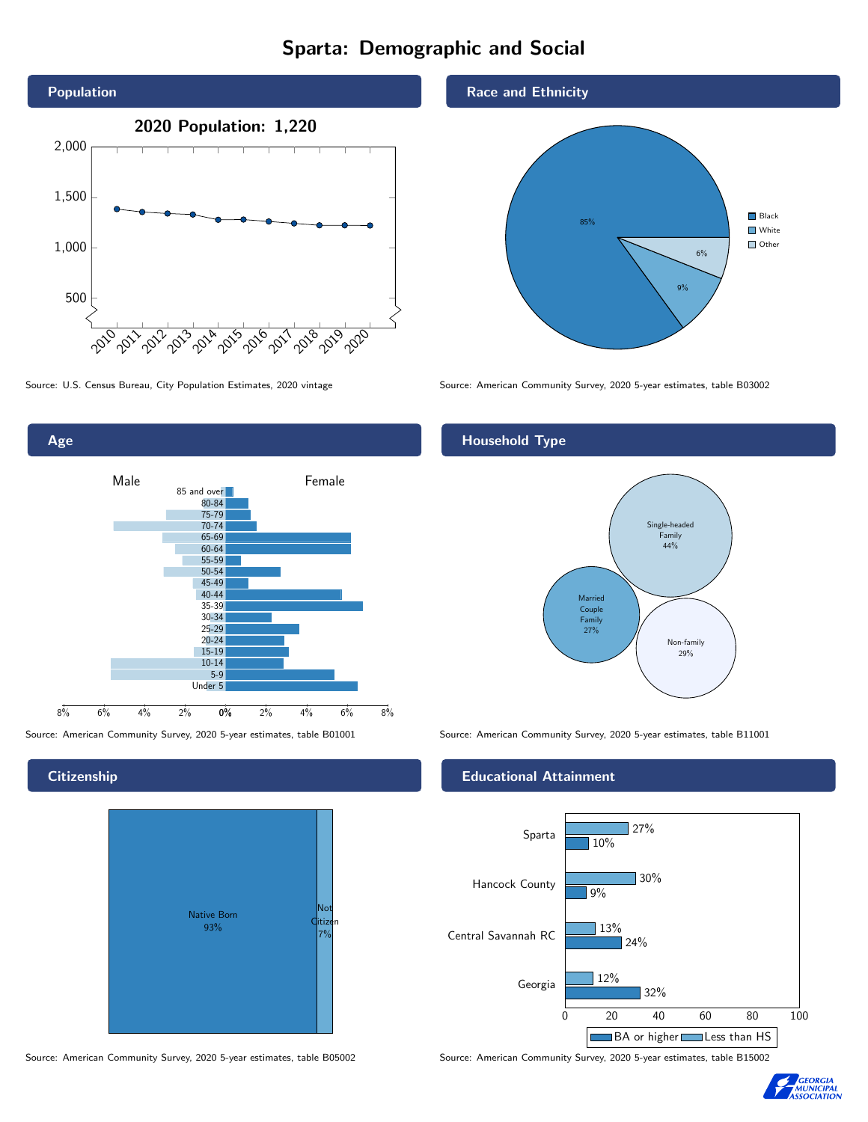# Sparta: Demographic and Social





# **Citizenship**



Source: American Community Survey, 2020 5-year estimates, table B05002 Source: American Community Survey, 2020 5-year estimates, table B15002

### Race and Ethnicity



Source: U.S. Census Bureau, City Population Estimates, 2020 vintage Source: American Community Survey, 2020 5-year estimates, table B03002

# Household Type



Source: American Community Survey, 2020 5-year estimates, table B01001 Source: American Community Survey, 2020 5-year estimates, table B11001

#### Educational Attainment



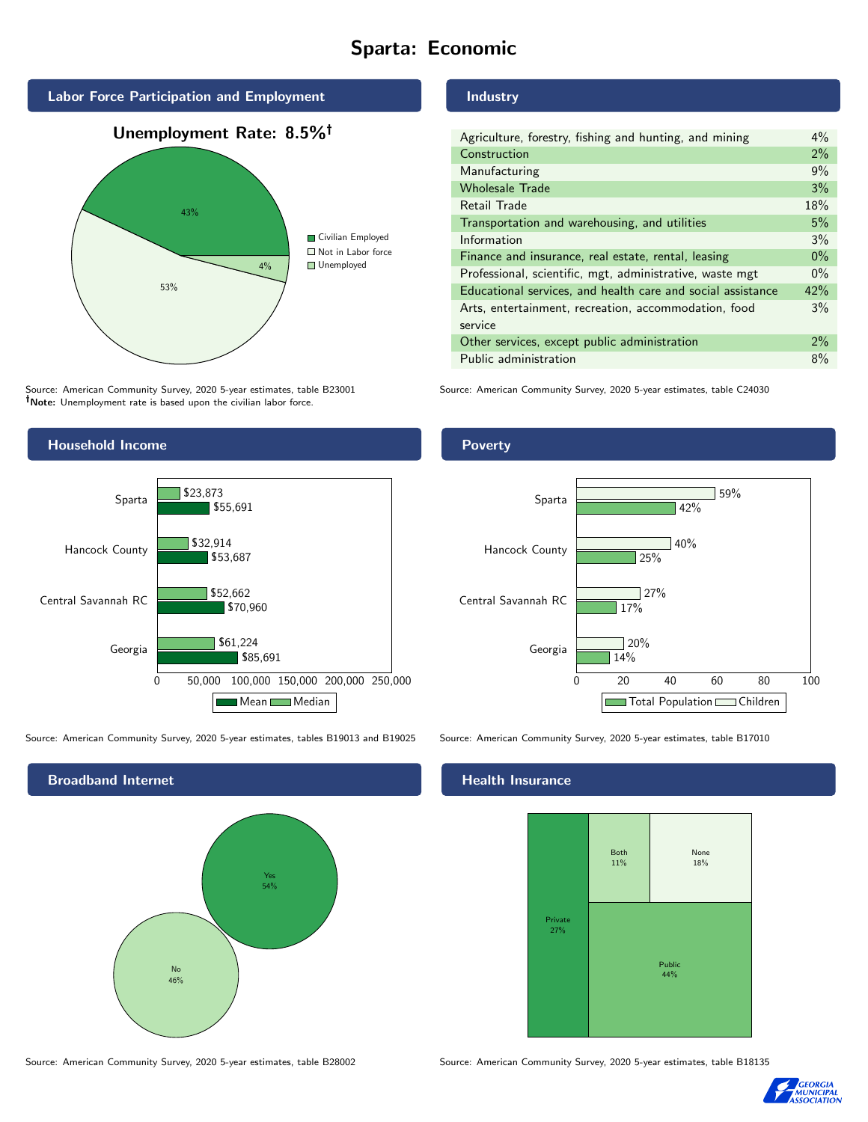# Sparta: Economic



Source: American Community Survey, 2020 5-year estimates, table B23001 Note: Unemployment rate is based upon the civilian labor force.

#### Industry

| Agriculture, forestry, fishing and hunting, and mining      | $4\%$ |
|-------------------------------------------------------------|-------|
| Construction                                                | 2%    |
| Manufacturing                                               | 9%    |
| <b>Wholesale Trade</b>                                      | 3%    |
| Retail Trade                                                | 18%   |
| Transportation and warehousing, and utilities               | 5%    |
| Information                                                 | 3%    |
| Finance and insurance, real estate, rental, leasing         | $0\%$ |
| Professional, scientific, mgt, administrative, waste mgt    | $0\%$ |
| Educational services, and health care and social assistance | 42%   |
| Arts, entertainment, recreation, accommodation, food        | 3%    |
| service                                                     |       |
| Other services, except public administration                | 2%    |
| Public administration                                       | 8%    |

Source: American Community Survey, 2020 5-year estimates, table C24030



Source: American Community Survey, 2020 5-year estimates, tables B19013 and B19025 Source: American Community Survey, 2020 5-year estimates, table B17010

Broadband Internet No 46% Yes 54%

## **Poverty**



#### Health Insurance



Source: American Community Survey, 2020 5-year estimates, table B28002 Source: American Community Survey, 2020 5-year estimates, table B18135